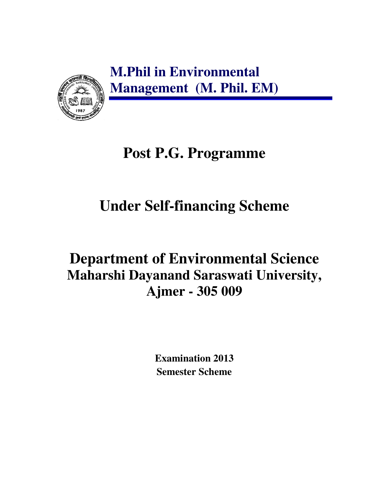**M.Phil in Environmental Management (M. Phil. EM)** 



# **Post P.G. Programme**

# **Under Self-financing Scheme**

# **Department of Environmental Science Maharshi Dayanand Saraswati University, Ajmer - 305 009**

**Examination 2013 Semester Scheme**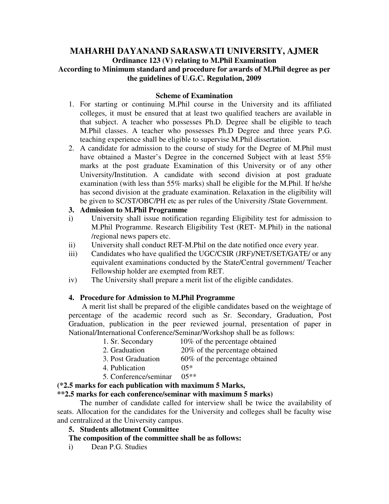### **MAHARHI DAYANAND SARASWATI UNIVERSITY, AJMER Ordinance 123 (V) relating to M.Phil Examination According to Minimum standard and procedure for awards of M.Phil degree as per the guidelines of U.G.C. Regulation, 2009**

#### **Scheme of Examination**

- 1. For starting or continuing M.Phil course in the University and its affiliated colleges, it must be ensured that at least two qualified teachers are available in that subject. A teacher who possesses Ph.D. Degree shall be eligible to teach M.Phil classes. A teacher who possesses Ph.D Degree and three years P.G. teaching experience shall be eligible to supervise M.Phil dissertation.
- 2. A candidate for admission to the course of study for the Degree of M.Phil must have obtained a Master's Degree in the concerned Subject with at least 55% marks at the post graduate Examination of this University or of any other University/Institution. A candidate with second division at post graduate examination (with less than 55% marks) shall be eligible for the M.Phil. If he/she has second division at the graduate examination. Relaxation in the eligibility will be given to SC/ST/OBC/PH etc as per rules of the University /State Government.

#### **3. Admission to M.Phil Programme**

- i) University shall issue notification regarding Eligibility test for admission to M.Phil Programme. Research Eligibility Test (RET- M.Phil) in the national /regional news papers etc.
- ii) University shall conduct RET-M.Phil on the date notified once every year.
- iii) Candidates who have qualified the UGC/CSIR (JRF)/NET/SET/GATE/ or any equivalent examinations conducted by the State/Central government/ Teacher Fellowship holder are exempted from RET.
- iv) The University shall prepare a merit list of the eligible candidates.

#### **4. Procedure for Admission to M.Phil Programme**

 A merit list shall be prepared of the eligible candidates based on the weightage of percentage of the academic record such as Sr. Secondary, Graduation, Post Graduation, publication in the peer reviewed journal, presentation of paper in National/International Conference/Seminar/Workshop shall be as follows:

- 1. Sr. Secondary 10% of the percentage obtained
- 2. Graduation 20% of the percentage obtained
- 3. Post Graduation 60% of the percentage obtained
- 4. Publication 05\*
	-
- 5. Conference/seminar 05\*\*

#### **(\*2.5 marks for each publication with maximum 5 Marks,**

#### **\*\*2.5 marks for each conference/seminar with maximum 5 marks)**

 The number of candidate called for interview shall be twice the availability of seats. Allocation for the candidates for the University and colleges shall be faculty wise and centralized at the University campus.

#### **5. Students allotment Committee**

#### **The composition of the committee shall be as follows:**

i) Dean P.G. Studies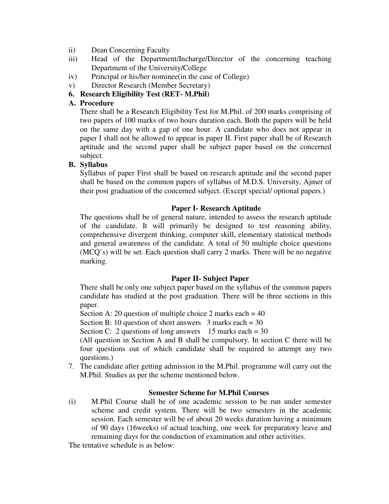- ii) Dean Concerning Faculty
- iii) Head of the Department/Incharge/Director of the concerning teaching Department of the University/College
- iv) Principal or his/her nominee(in the case of College)
- v) Director Research (Member Secretary)

#### **6. Research Eligibility Test (RET- M.Phil)**

#### **A. Procedure**

There shall be a Research Eligibility Test for M.Phil. of 200 marks comprising of two papers of 100 marks of two hours duration each. Both the papers will be held on the same day with a gap of one hour. A candidate who does not appear in paper I shall not be allowed to appear in paper II. First paper shall be of Research aptitude and the second paper shall be subject paper based on the concerned subject.

#### **B. Syllabus**

Syllabus of paper First shall be based on research aptitude and the second paper shall be based on the common papers of syllabus of M.D.S. University, Ajmer of their post graduation of the concerned subject. (Except special/ optional papers.)

#### **Paper I- Research Aptitude**

The questions shall be of general nature, intended to assess the research aptitude of the candidate. It will primarily be designed to test reasoning ability, comprehensive divergent thinking, computer skill, elementary statistical methods and general awareness of the candidate. A total of 50 multiple choice questions (MCQ's) will be set. Each question shall carry 2 marks. There will be no negative marking.

#### **Paper II- Subject Paper**

There shall be only one subject paper based on the syllabus of the common papers candidate has studied at the post graduation. There will be three sections in this paper.

Section A: 20 question of multiple choice 2 marks each  $= 40$ 

Section B: 10 question of short answers  $3$  marks each = 30

Section C: 2 questions of long answers  $15$  marks each = 30

(All question in Section A and B shall be compulsory. In section C there will be four questions out of which candidate shall be required to attempt any two questions.)

7. The candidate after getting admission in the M.Phil. programme will carry out the M.Phil. Studies as per the scheme mentioned below.

#### **Semester Scheme for M.Phil Courses**

(i) M.Phil Course shall be of one academic session to be run under semester scheme and credit system. There will be two semesters in the academic session. Each semester will be of about 20 weeks duration having a minimum of 90 days (16weeks) of actual teaching, one week for preparatory leave and remaining days for the conduction of examination and other activities.

The tentative schedule is as below: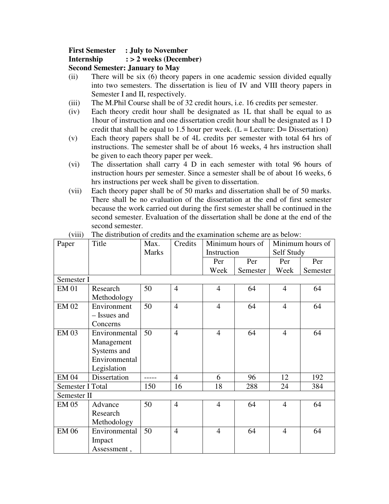### **First Semester : July to November**

#### **Internship : > 2 weeks (December)**

**Second Semester: January to May** 

- (ii) There will be six (6) theory papers in one academic session divided equally into two semesters. The dissertation is lieu of IV and VIII theory papers in Semester I and II, respectively.
- (iii) The M.Phil Course shall be of 32 credit hours, i.e. 16 credits per semester.
- (iv) Each theory credit hour shall be designated as 1L that shall be equal to as 1hour of instruction and one dissertation credit hour shall be designated as 1 D credit that shall be equal to 1.5 hour per week.  $(L = Lecture: D = Discount)$
- (v) Each theory papers shall be of 4L credits per semester with total 64 hrs of instructions. The semester shall be of about 16 weeks, 4 hrs instruction shall be given to each theory paper per week.
- (vi) The dissertation shall carry 4 D in each semester with total 96 hours of instruction hours per semester. Since a semester shall be of about 16 weeks, 6 hrs instructions per week shall be given to dissertation.
- (vii) Each theory paper shall be of 50 marks and dissertation shall be of 50 marks. There shall be no evaluation of the dissertation at the end of first semester because the work carried out during the first semester shall be continued in the second semester. Evaluation of the dissertation shall be done at the end of the second semester.

| Paper            | Title         | Max.         | Credits        | Minimum hours of<br>Instruction |          | Minimum hours of |          |
|------------------|---------------|--------------|----------------|---------------------------------|----------|------------------|----------|
|                  |               | <b>Marks</b> |                |                                 |          | Self Study       |          |
|                  |               |              |                | Per                             | Per      | Per              | Per      |
|                  |               |              |                | Week                            | Semester | Week             | Semester |
| Semester I       |               |              |                |                                 |          |                  |          |
| <b>EM 01</b>     | Research      | 50           | $\overline{4}$ | $\overline{4}$                  | 64       | $\overline{4}$   | 64       |
|                  | Methodology   |              |                |                                 |          |                  |          |
| EM 02            | Environment   | 50           | $\overline{4}$ | $\overline{4}$                  | 64       | $\overline{4}$   | 64       |
|                  | - Issues and  |              |                |                                 |          |                  |          |
|                  | Concerns      |              |                |                                 |          |                  |          |
| <b>EM 03</b>     | Environmental | 50           | $\overline{4}$ | $\overline{4}$                  | 64       | $\overline{4}$   | 64       |
|                  | Management    |              |                |                                 |          |                  |          |
|                  | Systems and   |              |                |                                 |          |                  |          |
|                  | Environmental |              |                |                                 |          |                  |          |
|                  | Legislation   |              |                |                                 |          |                  |          |
| <b>EM 04</b>     | Dissertation  |              | $\overline{4}$ | 6                               | 96       | 12               | 192      |
| Semester I Total |               | 150          | 16             | 18                              | 288      | 24               | 384      |
| Semester II      |               |              |                |                                 |          |                  |          |
| <b>EM 05</b>     | Advance       | 50           | $\overline{4}$ | $\overline{4}$                  | 64       | $\overline{4}$   | 64       |
|                  | Research      |              |                |                                 |          |                  |          |
|                  | Methodology   |              |                |                                 |          |                  |          |
| <b>EM 06</b>     | Environmental | 50           | $\overline{4}$ | $\overline{4}$                  | 64       | $\overline{4}$   | 64       |
|                  | Impact        |              |                |                                 |          |                  |          |
|                  | Assessment,   |              |                |                                 |          |                  |          |

#### (viii) The distribution of credits and the examination scheme are as below: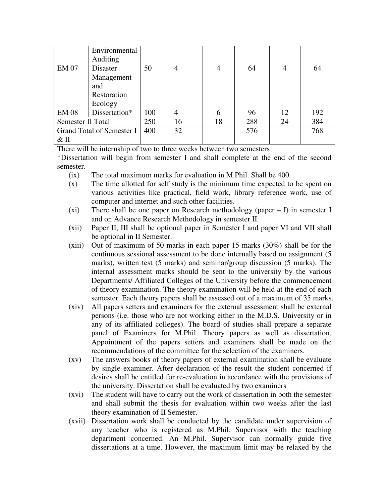|                           | Environmental |     |                |    |     |    |     |
|---------------------------|---------------|-----|----------------|----|-----|----|-----|
|                           | Auditing      |     |                |    |     |    |     |
| <b>EM 07</b>              | Disaster      | 50  | $\overline{4}$ | 4  | 64  |    | 64  |
|                           | Management    |     |                |    |     |    |     |
|                           | and           |     |                |    |     |    |     |
|                           | Restoration   |     |                |    |     |    |     |
|                           | Ecology       |     |                |    |     |    |     |
| <b>EM 08</b>              | Dissertation* | 100 | $\overline{4}$ | 6  | 96  | 12 | 192 |
| Semester II Total         |               | 250 | 16             | 18 | 288 | 24 | 384 |
| Grand Total of Semester I |               | 400 | 32             |    | 576 |    | 768 |
| $&$ II                    |               |     |                |    |     |    |     |

There will be internship of two to three weeks between two semesters

\*Dissertation will begin from semester I and shall complete at the end of the second semester.

- (ix) The total maximum marks for evaluation in M.Phil. Shall be 400.
- (x) The time allotted for self study is the minimum time expected to be spent on various activities like practical, field work, library reference work, use of computer and internet and such other facilities.
- (xi) There shall be one paper on Research methodology (paper  $I$ ) in semester I and on Advance Research Methodology in semester II.
- (xii) Paper II, III shall be optional paper in Semester I and paper VI and VII shall be optional in II Semester.
- (xiii) Out of maximum of 50 marks in each paper 15 marks (30%) shall be for the continuous sessional assessment to be done internally based on assignment (5 marks), written test (5 marks) and seminar/group discussion (5 marks). The internal assessment marks should be sent to the university by the various Departments/ Affiliated Colleges of the University before the commencement of theory examination. The theory examination will be held at the end of each semester. Each theory papers shall be assessed out of a maximum of 35 marks.
- (xiv) All papers setters and examiners for the external assessment shall be external persons (i.e. those who are not working either in the M.D.S. University or in any of its affiliated colleges). The board of studies shall prepare a separate panel of Examiners for M.Phil. Theory papers as well as dissertation. Appointment of the papers setters and examiners shall be made on the recommendations of the committee for the selection of the examiners.
- (xv) The answers books of theory papers of external examination shall be evaluate by single examiner. After declaration of the result the student concerned if desires shall be entitled for re-evaluation in accordance with the provisions of the university. Dissertation shall be evaluated by two examiners
- (xvi) The student will have to carry out the work of dissertation in both the semester and shall submit the thesis for evaluation within two weeks after the last theory examination of II Semester.
- (xvii) Dissertation work shall be conducted by the candidate under supervision of any teacher who is registered as M.Phil. Supervisor with the teaching department concerned. An M.Phil. Supervisor can normally guide five dissertations at a time. However, the maximum limit may be relaxed by the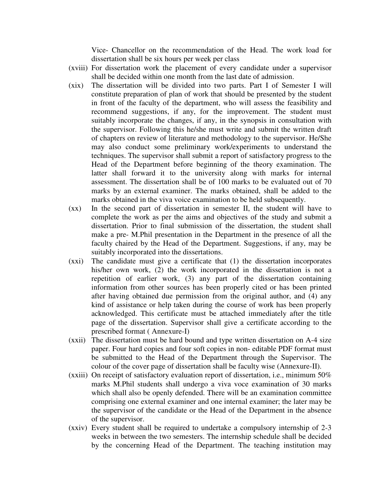Vice- Chancellor on the recommendation of the Head. The work load for dissertation shall be six hours per week per class

- (xviii) For dissertation work the placement of every candidate under a supervisor shall be decided within one month from the last date of admission.
- (xix) The dissertation will be divided into two parts. Part I of Semester I will constitute preparation of plan of work that should be presented by the student in front of the faculty of the department, who will assess the feasibility and recommend suggestions, if any, for the improvement. The student must suitably incorporate the changes, if any, in the synopsis in consultation with the supervisor. Following this he/she must write and submit the written draft of chapters on review of literature and methodology to the supervisor. He/She may also conduct some preliminary work/experiments to understand the techniques. The supervisor shall submit a report of satisfactory progress to the Head of the Department before beginning of the theory examination. The latter shall forward it to the university along with marks for internal assessment. The dissertation shall be of 100 marks to be evaluated out of 70 marks by an external examiner. The marks obtained, shall be added to the marks obtained in the viva voice examination to be held subsequently.
- (xx) In the second part of dissertation in semester II, the student will have to complete the work as per the aims and objectives of the study and submit a dissertation. Prior to final submission of the dissertation, the student shall make a pre- M.Phil presentation in the Department in the presence of all the faculty chaired by the Head of the Department. Suggestions, if any, may be suitably incorporated into the dissertations.
- (xxi) The candidate must give a certificate that (1) the dissertation incorporates his/her own work, (2) the work incorporated in the dissertation is not a repetition of earlier work, (3) any part of the dissertation containing information from other sources has been properly cited or has been printed after having obtained due permission from the original author, and (4) any kind of assistance or help taken during the course of work has been properly acknowledged. This certificate must be attached immediately after the title page of the dissertation. Supervisor shall give a certificate according to the prescribed format ( Annexure-I)
- (xxii) The dissertation must be hard bound and type written dissertation on A-4 size paper. Four hard copies and four soft copies in non- editable PDF format must be submitted to the Head of the Department through the Supervisor. The colour of the cover page of dissertation shall be faculty wise (Annexure-II).
- (xxiii) On receipt of satisfactory evaluation report of dissertation, i.e., minimum 50% marks M.Phil students shall undergo a viva voce examination of 30 marks which shall also be openly defended. There will be an examination committee comprising one external examiner and one internal examiner; the later may be the supervisor of the candidate or the Head of the Department in the absence of the supervisor.
- (xxiv) Every student shall be required to undertake a compulsory internship of 2-3 weeks in between the two semesters. The internship schedule shall be decided by the concerning Head of the Department. The teaching institution may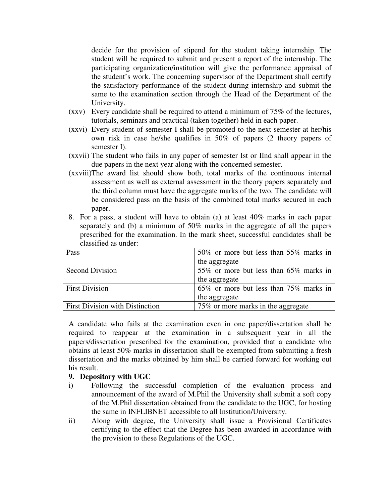decide for the provision of stipend for the student taking internship. The student will be required to submit and present a report of the internship. The participating organization/institution will give the performance appraisal of the student's work. The concerning supervisor of the Department shall certify the satisfactory performance of the student during internship and submit the same to the examination section through the Head of the Department of the University.

- (xxv) Every candidate shall be required to attend a minimum of 75% of the lectures, tutorials, seminars and practical (taken together) held in each paper.
- (xxvi) Every student of semester I shall be promoted to the next semester at her/his own risk in case he/she qualifies in 50% of papers (2 theory papers of semester I).
- (xxvii) The student who fails in any paper of semester Ist or IInd shall appear in the due papers in the next year along with the concerned semester.
- (xxviii)The award list should show both, total marks of the continuous internal assessment as well as external assessment in the theory papers separately and the third column must have the aggregate marks of the two. The candidate will be considered pass on the basis of the combined total marks secured in each paper.
- 8. For a pass, a student will have to obtain (a) at least 40% marks in each paper separately and (b) a minimum of 50% marks in the aggregate of all the papers prescribed for the examination. In the mark sheet, successful candidates shall be classified as under:

| Pass                                   | 50% or more but less than 55% marks in |
|----------------------------------------|----------------------------------------|
|                                        | the aggregate                          |
| <b>Second Division</b>                 | 55% or more but less than 65% marks in |
|                                        | the aggregate                          |
| <b>First Division</b>                  | 65% or more but less than 75% marks in |
|                                        | the aggregate                          |
| <b>First Division with Distinction</b> | 75% or more marks in the aggregate     |

A candidate who fails at the examination even in one paper/dissertation shall be required to reappear at the examination in a subsequent year in all the papers/dissertation prescribed for the examination, provided that a candidate who obtains at least 50% marks in dissertation shall be exempted from submitting a fresh dissertation and the marks obtained by him shall be carried forward for working out his result.

#### **9. Depository with UGC**

- i) Following the successful completion of the evaluation process and announcement of the award of M.Phil the University shall submit a soft copy of the M.Phil dissertation obtained from the candidate to the UGC, for hosting the same in INFLIBNET accessible to all Institution/University.
- ii) Along with degree, the University shall issue a Provisional Certificates certifying to the effect that the Degree has been awarded in accordance with the provision to these Regulations of the UGC.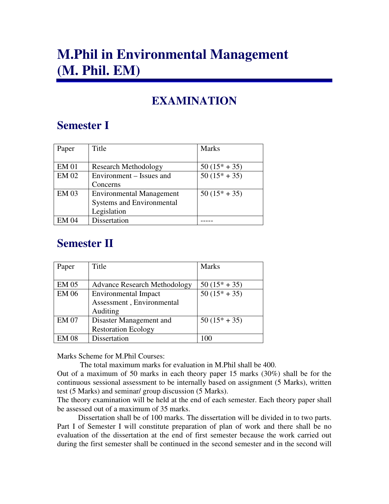# **M.Phil in Environmental Management (M. Phil. EM)**

## **EXAMINATION**

## **Semester I**

| Paper        | Title                           | <b>Marks</b>   |
|--------------|---------------------------------|----------------|
|              |                                 |                |
| <b>EM 01</b> | <b>Research Methodology</b>     | $50(15* + 35)$ |
| <b>EM 02</b> | Environment – Issues and        | $50(15* + 35)$ |
|              | Concerns                        |                |
| <b>EM 03</b> | <b>Environmental Management</b> | $50(15* + 35)$ |
|              | Systems and Environmental       |                |
|              | Legislation                     |                |
| EM 04        | Dissertation                    |                |

## **Semester II**

| Paper        | Title                               | <b>Marks</b>   |
|--------------|-------------------------------------|----------------|
|              |                                     |                |
| <b>EM 05</b> | <b>Advance Research Methodology</b> | $50(15* + 35)$ |
| <b>EM 06</b> | <b>Environmental Impact</b>         | $50(15* + 35)$ |
|              | Assessment, Environmental           |                |
|              | Auditing                            |                |
| <b>EM 07</b> | Disaster Management and             | $50(15* + 35)$ |
|              | <b>Restoration Ecology</b>          |                |
| EM 08        | Dissertation                        | 1 O C          |

Marks Scheme for M.Phil Courses:

The total maximum marks for evaluation in M.Phil shall be 400.

Out of a maximum of 50 marks in each theory paper 15 marks (30%) shall be for the continuous sessional assessment to be internally based on assignment (5 Marks), written test (5 Marks) and seminar/ group discussion (5 Marks).

The theory examination will be held at the end of each semester. Each theory paper shall be assessed out of a maximum of 35 marks.

 Dissertation shall be of 100 marks. The dissertation will be divided in to two parts. Part I of Semester I will constitute preparation of plan of work and there shall be no evaluation of the dissertation at the end of first semester because the work carried out during the first semester shall be continued in the second semester and in the second will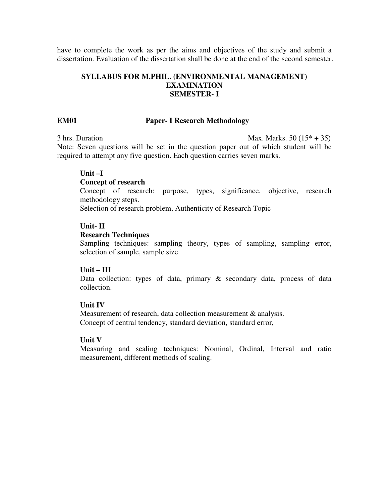have to complete the work as per the aims and objectives of the study and submit a dissertation. Evaluation of the dissertation shall be done at the end of the second semester.

#### **SYLLABUS FOR M.PHIL. (ENVIRONMENTAL MANAGEMENT) EXAMINATION SEMESTER- I**

#### **EM01 Paper- I Research Methodology**

 $3 \text{ hrs.}$  Duration Max. Marks.  $50 (15^* + 35)$ 

Note: Seven questions will be set in the question paper out of which student will be required to attempt any five question. Each question carries seven marks.

#### **Unit –I**

#### **Concept of research**

Concept of research: purpose, types, significance, objective, research methodology steps.

Selection of research problem, Authenticity of Research Topic

#### **Unit- II**

#### **Research Techniques**

Sampling techniques: sampling theory, types of sampling, sampling error, selection of sample, sample size.

#### **Unit – III**

Data collection: types of data, primary & secondary data, process of data collection.

#### **Unit IV**

Measurement of research, data collection measurement & analysis. Concept of central tendency, standard deviation, standard error,

#### **Unit V**

Measuring and scaling techniques: Nominal, Ordinal, Interval and ratio measurement, different methods of scaling.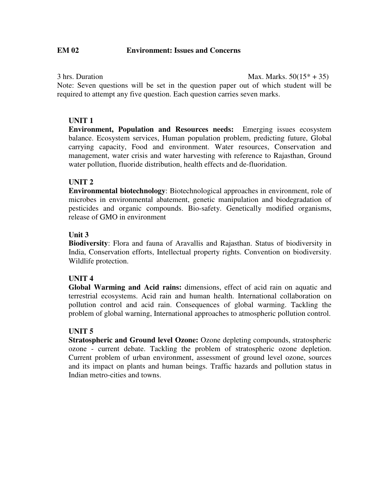$3 \text{ hrs.}$  Duration Max. Marks.  $50(15* + 35)$ Note: Seven questions will be set in the question paper out of which student will be required to attempt any five question. Each question carries seven marks.

#### **UNIT 1**

**Environment, Population and Resources needs:** Emerging issues ecosystem balance. Ecosystem services, Human population problem, predicting future, Global carrying capacity, Food and environment. Water resources, Conservation and management, water crisis and water harvesting with reference to Rajasthan, Ground water pollution, fluoride distribution, health effects and de-fluoridation.

#### **UNIT 2**

**Environmental biotechnology**: Biotechnological approaches in environment, role of microbes in environmental abatement, genetic manipulation and biodegradation of pesticides and organic compounds. Bio-safety. Genetically modified organisms, release of GMO in environment

#### **Unit 3**

**Biodiversity**: Flora and fauna of Aravallis and Rajasthan. Status of biodiversity in India, Conservation efforts, Intellectual property rights. Convention on biodiversity. Wildlife protection.

#### **UNIT 4**

**Global Warming and Acid rains:** dimensions, effect of acid rain on aquatic and terrestrial ecosystems. Acid rain and human health. International collaboration on pollution control and acid rain. Consequences of global warming. Tackling the problem of global warning, International approaches to atmospheric pollution control.

#### **UNIT 5**

**Stratospheric and Ground level Ozone:** Ozone depleting compounds, stratospheric ozone - current debate. Tackling the problem of stratospheric ozone depletion. Current problem of urban environment, assessment of ground level ozone, sources and its impact on plants and human beings. Traffic hazards and pollution status in Indian metro-cities and towns.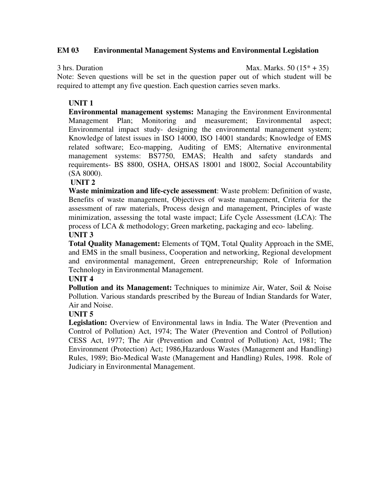#### **EM 03 Environmental Management Systems and Environmental Legislation**

 $3 \text{ hrs.}$  Duration Max. Marks.  $50 (15* + 35)$ 

Note: Seven questions will be set in the question paper out of which student will be required to attempt any five question. Each question carries seven marks.

#### **UNIT 1**

**Environmental management systems:** Managing the Environment Environmental Management Plan; Monitoring and measurement; Environmental aspect; Environmental impact study- designing the environmental management system; Knowledge of latest issues in ISO 14000, ISO 14001 standards; Knowledge of EMS related software; Eco-mapping, Auditing of EMS; Alternative environmental management systems: BS7750, EMAS; Health and safety standards and requirements- BS 8800, OSHA, OHSAS 18001 and 18002, Social Accountability (SA 8000).

#### **UNIT 2**

**Waste minimization and life-cycle assessment**: Waste problem: Definition of waste, Benefits of waste management, Objectives of waste management, Criteria for the assessment of raw materials, Process design and management, Principles of waste minimization, assessing the total waste impact; Life Cycle Assessment (LCA): The process of LCA & methodology; Green marketing, packaging and eco- labeling.

### **UNIT 3**

**Total Quality Management:** Elements of TQM, Total Quality Approach in the SME, and EMS in the small business, Cooperation and networking, Regional development and environmental management, Green entrepreneurship; Role of Information Technology in Environmental Management.

#### **UNIT 4**

**Pollution and its Management:** Techniques to minimize Air, Water, Soil & Noise Pollution. Various standards prescribed by the Bureau of Indian Standards for Water, Air and Noise.

#### **UNIT 5**

**Legislation:** Overview of Environmental laws in India. The Water (Prevention and Control of Pollution) Act, 1974; The Water (Prevention and Control of Pollution) CESS Act, 1977; The Air (Prevention and Control of Pollution) Act, 1981; The Environment (Protection) Act; 1986,Hazardous Wastes (Management and Handling) Rules, 1989; Bio-Medical Waste (Management and Handling) Rules, 1998. Role of Judiciary in Environmental Management.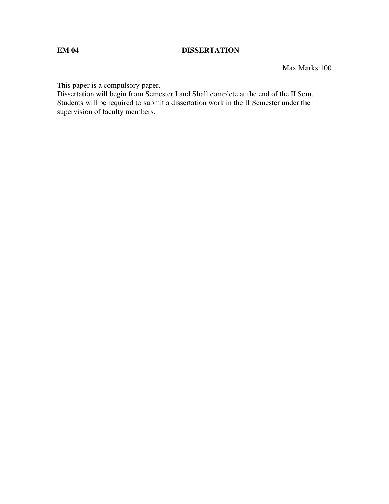#### **EM 04 DISSERTATION**

Max Marks:100

This paper is a compulsory paper.

Dissertation will begin from Semester I and Shall complete at the end of the II Sem. Students will be required to submit a dissertation work in the II Semester under the supervision of faculty members.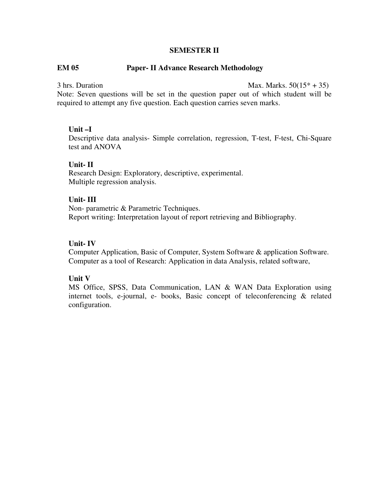#### **SEMESTER II**

#### **EM 05 Paper- II Advance Research Methodology**

 $3 \text{ hrs.}$  Duration Max. Marks.  $50(15^* + 35)$ 

Note: Seven questions will be set in the question paper out of which student will be required to attempt any five question. Each question carries seven marks.

#### **Unit –I**

Descriptive data analysis- Simple correlation, regression, T-test, F-test, Chi-Square test and ANOVA

#### **Unit- II**

Research Design: Exploratory, descriptive, experimental. Multiple regression analysis.

#### **Unit- III**

Non- parametric & Parametric Techniques. Report writing: Interpretation layout of report retrieving and Bibliography.

#### **Unit- IV**

Computer Application, Basic of Computer, System Software & application Software. Computer as a tool of Research: Application in data Analysis, related software,

#### **Unit V**

MS Office, SPSS, Data Communication, LAN & WAN Data Exploration using internet tools, e-journal, e- books, Basic concept of teleconferencing & related configuration.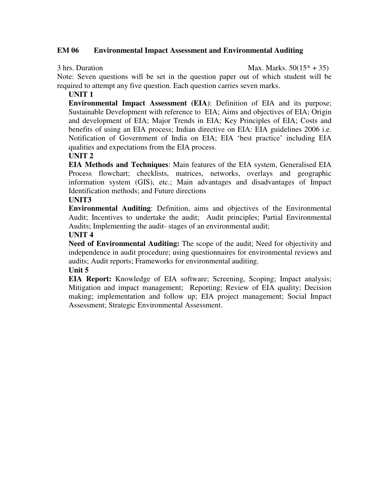#### **EM 06 Environmental Impact Assessment and Environmental Auditing**

 $3 \text{ hrs.}$  Duration Max. Marks.  $50(15^* + 35)$ 

Note: Seven questions will be set in the question paper out of which student will be required to attempt any five question. Each question carries seven marks.

**UNIT 1** 

**Environmental Impact Assessment (EIA**): Definition of EIA and its purpose; Sustainable Development with reference to EIA; Aims and objectives of EIA; Origin and development of EIA; Major Trends in EIA; Key Principles of EIA; Costs and benefits of using an EIA process; Indian directive on EIA: EIA guidelines 2006 i.e. Notification of Government of India on EIA; EIA 'best practice' including EIA qualities and expectations from the EIA process.

**UNIT 2** 

**EIA Methods and Techniques**: Main features of the EIA system, Generalised EIA Process flowchart; checklists, matrices, networks, overlays and geographic information system (GIS), etc.; Main advantages and disadvantages of Impact Identification methods; and Future directions

**UNIT3** 

**Environmental Auditing**: Definition, aims and objectives of the Environmental Audit; Incentives to undertake the audit; Audit principles; Partial Environmental Audits; Implementing the audit- stages of an environmental audit;

#### **UNIT 4**

**Need of Environmental Auditing:** The scope of the audit; Need for objectivity and independence in audit procedure; using questionnaires for environmental reviews and audits; Audit reports; Frameworks for environmental auditing.

#### **Unit 5**

**EIA Report:** Knowledge of EIA software; Screening, Scoping; Impact analysis; Mitigation and impact management; Reporting; Review of EIA quality; Decision making; implementation and follow up; EIA project management; Social Impact Assessment; Strategic Environmental Assessment.